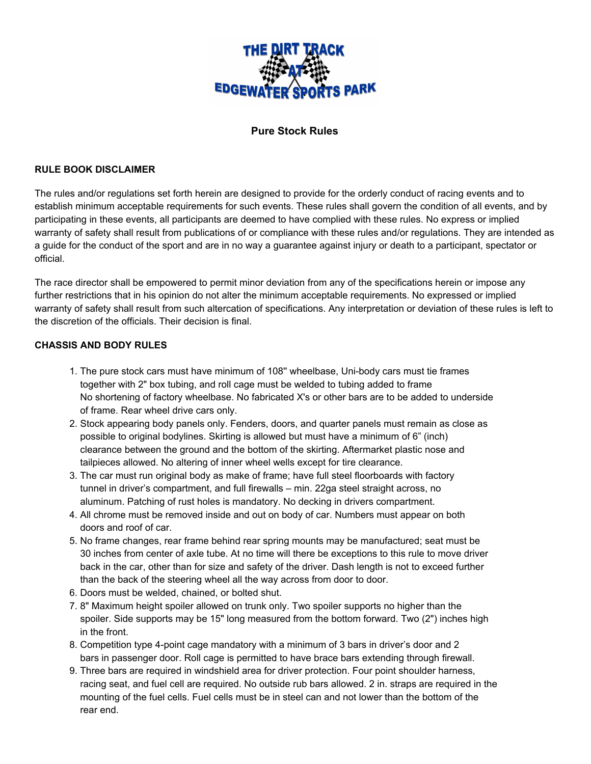

# **Pure Stock Rules**

#### **RULE BOOK DISCLAIMER**

The rules and/or regulations set forth herein are designed to provide for the orderly conduct of racing events and to establish minimum acceptable requirements for such events. These rules shall govern the condition of all events, and by participating in these events, all participants are deemed to have complied with these rules. No express or implied warranty of safety shall result from publications of or compliance with these rules and/or regulations. They are intended as a guide for the conduct of the sport and are in no way a guarantee against injury or death to a participant, spectator or official.

The race director shall be empowered to permit minor deviation from any of the specifications herein or impose any further restrictions that in his opinion do not alter the minimum acceptable requirements. No expressed or implied warranty of safety shall result from such altercation of specifications. Any interpretation or deviation of these rules is left to the discretion of the officials. Their decision is final.

#### **CHASSIS AND BODY RULES**

- 1. The pure stock cars must have minimum of 108'' wheelbase, Uni-body cars must tie frames together with 2" box tubing, and roll cage must be welded to tubing added to frame No shortening of factory wheelbase. No fabricated X's or other bars are to be added to underside of frame. Rear wheel drive cars only.
- 2. Stock appearing body panels only. Fenders, doors, and quarter panels must remain as close as possible to original bodylines. Skirting is allowed but must have a minimum of 6" (inch) clearance between the ground and the bottom of the skirting. Aftermarket plastic nose and tailpieces allowed. No altering of inner wheel wells except for tire clearance.
- 3. The car must run original body as make of frame; have full steel floorboards with factory tunnel in driver's compartment, and full firewalls – min. 22ga steel straight across, no aluminum. Patching of rust holes is mandatory. No decking in drivers compartment.
- 4. All chrome must be removed inside and out on body of car. Numbers must appear on both doors and roof of car.
- 5. No frame changes, rear frame behind rear spring mounts may be manufactured; seat must be 30 inches from center of axle tube. At no time will there be exceptions to this rule to move driver back in the car, other than for size and safety of the driver. Dash length is not to exceed further than the back of the steering wheel all the way across from door to door.
- 6. Doors must be welded, chained, or bolted shut.
- 7. 8" Maximum height spoiler allowed on trunk only. Two spoiler supports no higher than the spoiler. Side supports may be 15" long measured from the bottom forward. Two (2") inches high in the front.
- 8. Competition type 4-point cage mandatory with a minimum of 3 bars in driver's door and 2 bars in passenger door. Roll cage is permitted to have brace bars extending through firewall.
- 9. Three bars are required in windshield area for driver protection. Four point shoulder harness, racing seat, and fuel cell are required. No outside rub bars allowed. 2 in. straps are required in the mounting of the fuel cells. Fuel cells must be in steel can and not lower than the bottom of the rear end.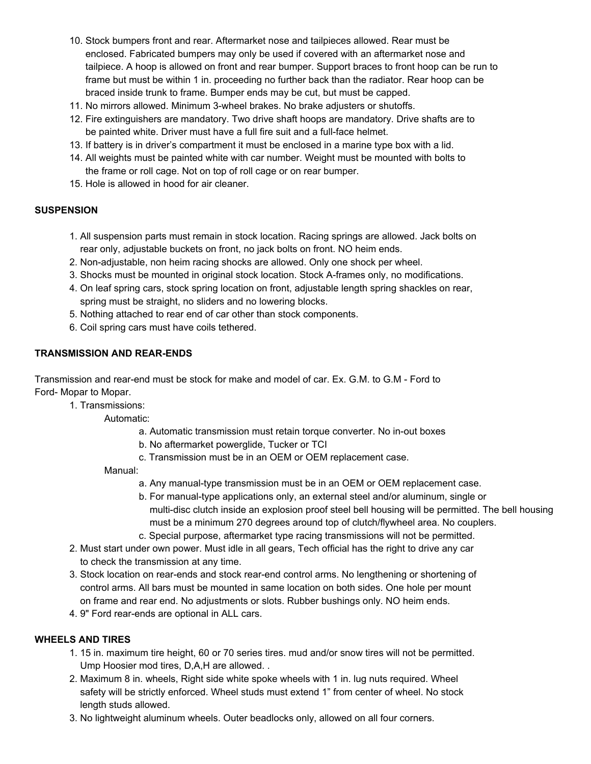- 10. Stock bumpers front and rear. Aftermarket nose and tailpieces allowed. Rear must be enclosed. Fabricated bumpers may only be used if covered with an aftermarket nose and tailpiece. A hoop is allowed on front and rear bumper. Support braces to front hoop can be run to frame but must be within 1 in. proceeding no further back than the radiator. Rear hoop can be braced inside trunk to frame. Bumper ends may be cut, but must be capped.
- 11. No mirrors allowed. Minimum 3-wheel brakes. No brake adjusters or shutoffs.
- 12. Fire extinguishers are mandatory. Two drive shaft hoops are mandatory. Drive shafts are to be painted white. Driver must have a full fire suit and a full-face helmet.
- 13. If battery is in driver's compartment it must be enclosed in a marine type box with a lid.
- 14. All weights must be painted white with car number. Weight must be mounted with bolts to the frame or roll cage. Not on top of roll cage or on rear bumper.
- 15. Hole is allowed in hood for air cleaner.

### **SUSPENSION**

- 1. All suspension parts must remain in stock location. Racing springs are allowed. Jack bolts on rear only, adjustable buckets on front, no jack bolts on front. NO heim ends.
- 2. Non-adjustable, non heim racing shocks are allowed. Only one shock per wheel.
- 3. Shocks must be mounted in original stock location. Stock A-frames only, no modifications.
- 4. On leaf spring cars, stock spring location on front, adjustable length spring shackles on rear, spring must be straight, no sliders and no lowering blocks.
- 5. Nothing attached to rear end of car other than stock components.
- 6. Coil spring cars must have coils tethered.

# **TRANSMISSION AND REAR-ENDS**

Transmission and rear-end must be stock for make and model of car. Ex. G.M. to G.M - Ford to Ford- Mopar to Mopar.

#### 1. Transmissions:

Automatic:

- a. Automatic transmission must retain torque converter. No in-out boxes
- b. No aftermarket powerglide, Tucker or TCI
- c. Transmission must be in an OEM or OEM replacement case.

Manual:

- a. Any manual-type transmission must be in an OEM or OEM replacement case.
- b. For manual-type applications only, an external steel and/or aluminum, single or multi-disc clutch inside an explosion proof steel bell housing will be permitted. The bell housing must be a minimum 270 degrees around top of clutch/flywheel area. No couplers.
- c. Special purpose, aftermarket type racing transmissions will not be permitted.
- 2. Must start under own power. Must idle in all gears, Tech official has the right to drive any car to check the transmission at any time.
- 3. Stock location on rear-ends and stock rear-end control arms. No lengthening or shortening of control arms. All bars must be mounted in same location on both sides. One hole per mount on frame and rear end. No adjustments or slots. Rubber bushings only. NO heim ends.
- 4. 9" Ford rear-ends are optional in ALL cars.

# **WHEELS AND TIRES**

- 1. 15 in. maximum tire height, 60 or 70 series tires. mud and/or snow tires will not be permitted. Ump Hoosier mod tires, D,A,H are allowed. .
- 2. Maximum 8 in. wheels, Right side white spoke wheels with 1 in. lug nuts required. Wheel safety will be strictly enforced. Wheel studs must extend 1" from center of wheel. No stock length studs allowed.
- 3. No lightweight aluminum wheels. Outer beadlocks only, allowed on all four corners.